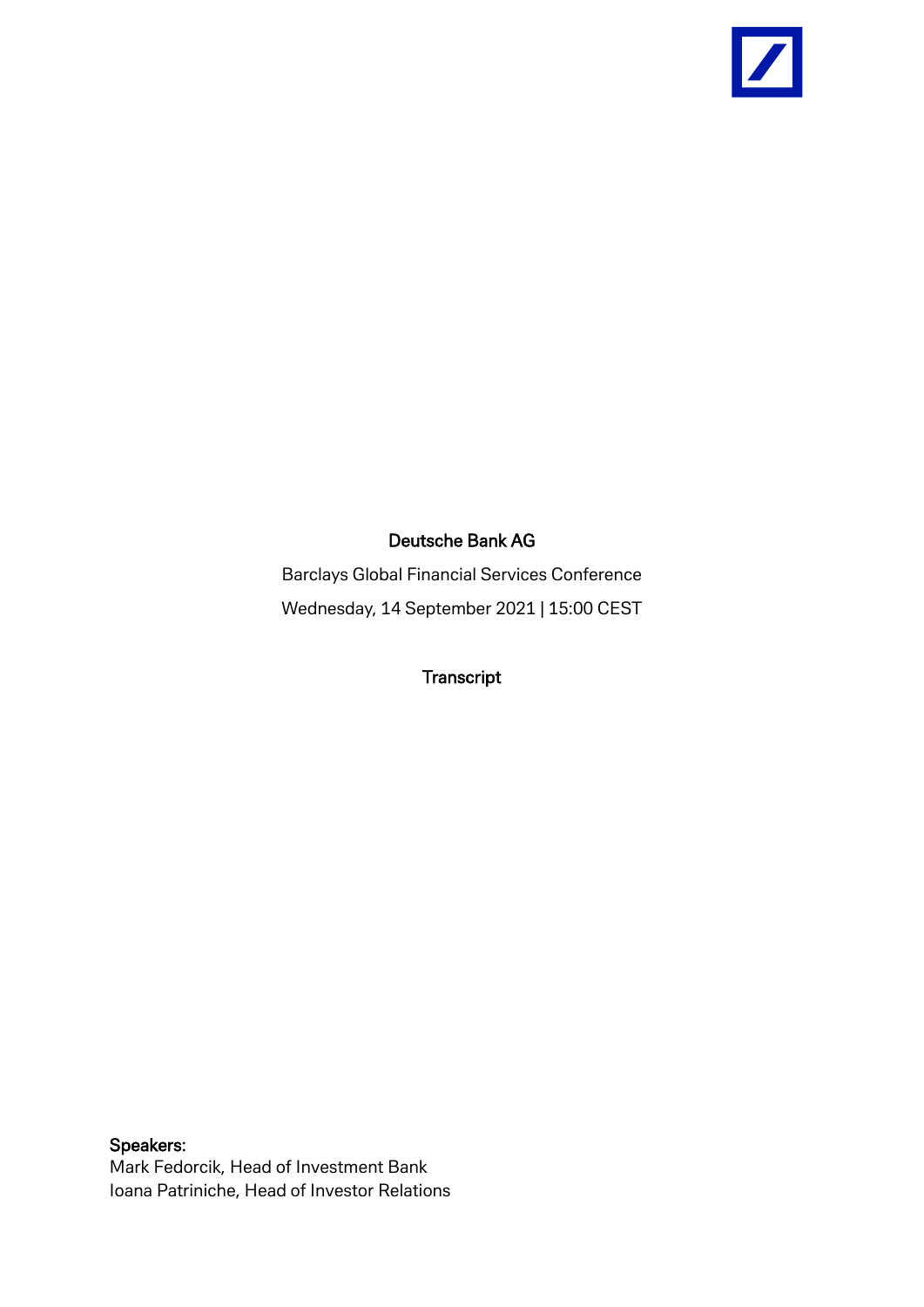

## Deutsche Bank AG

Barclays Global Financial Services Conference Wednesday, 14 September 2021 | 15:00 CEST

**Transcript** 

Speakers: Mark Fedorcik, Head of Investment Bank Ioana Patriniche, Head of Investor Relations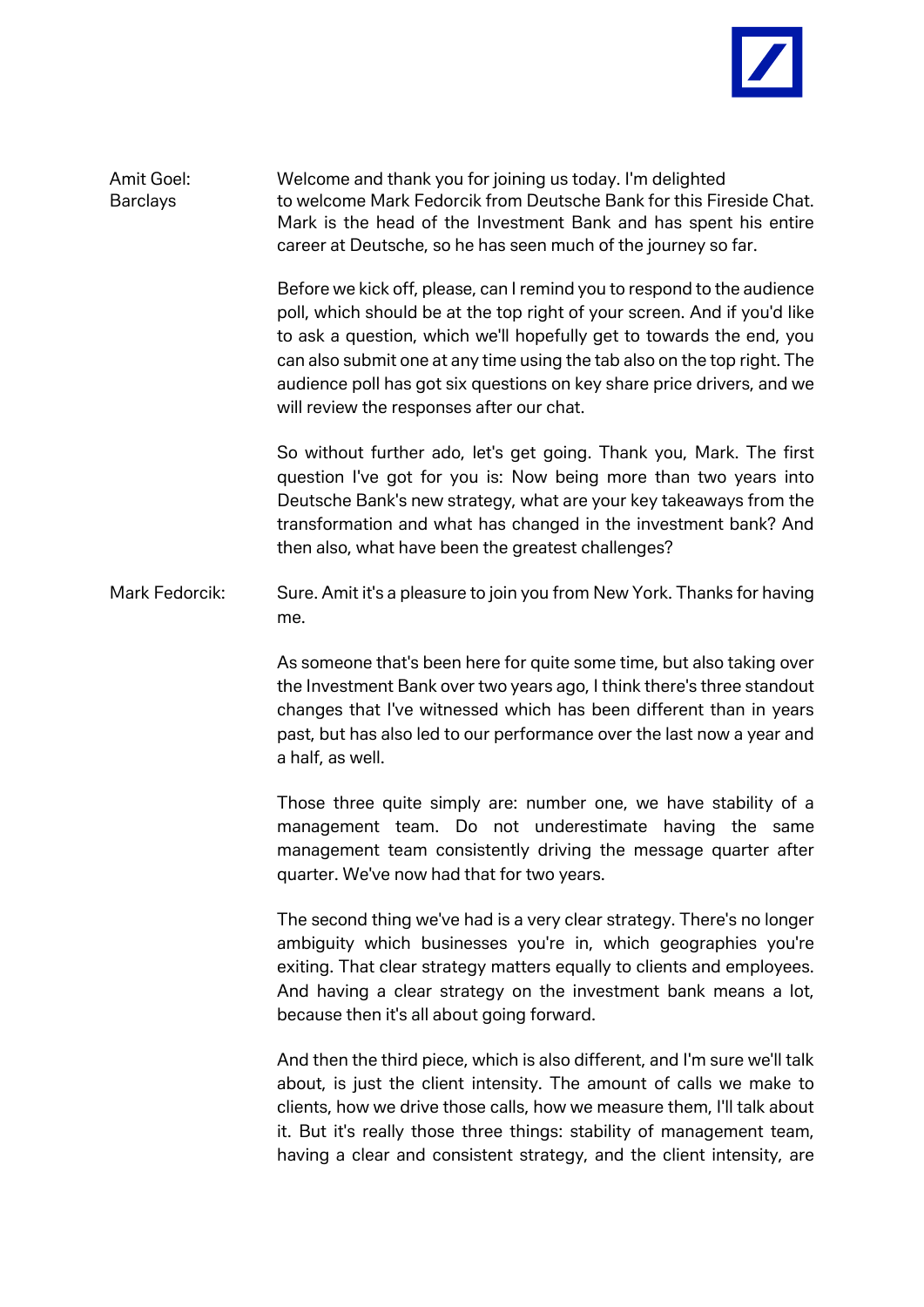

Amit Goel: Welcome and thank you for joining us today. I'm delighted Barclays to welcome Mark Fedorcik from Deutsche Bank for this Fireside Chat. Mark is the head of the Investment Bank and has spent his entire career at Deutsche, so he has seen much of the journey so far.

> Before we kick off, please, can I remind you to respond to the audience poll, which should be at the top right of your screen. And if you'd like to ask a question, which we'll hopefully get to towards the end, you can also submit one at any time using the tab also on the top right. The audience poll has got six questions on key share price drivers, and we will review the responses after our chat.

> So without further ado, let's get going. Thank you, Mark. The first question I've got for you is: Now being more than two years into Deutsche Bank's new strategy, what are your key takeaways from the transformation and what has changed in the investment bank? And then also, what have been the greatest challenges?

Mark Fedorcik: Sure. Amit it's a pleasure to join you from New York. Thanks for having me.

> As someone that's been here for quite some time, but also taking over the Investment Bank over two years ago, I think there's three standout changes that I've witnessed which has been different than in years past, but has also led to our performance over the last now a year and a half, as well.

> Those three quite simply are: number one, we have stability of a management team. Do not underestimate having the same management team consistently driving the message quarter after quarter. We've now had that for two years.

> The second thing we've had is a very clear strategy. There's no longer ambiguity which businesses you're in, which geographies you're exiting. That clear strategy matters equally to clients and employees. And having a clear strategy on the investment bank means a lot, because then it's all about going forward.

> And then the third piece, which is also different, and I'm sure we'll talk about, is just the client intensity. The amount of calls we make to clients, how we drive those calls, how we measure them, I'll talk about it. But it's really those three things: stability of management team, having a clear and consistent strategy, and the client intensity, are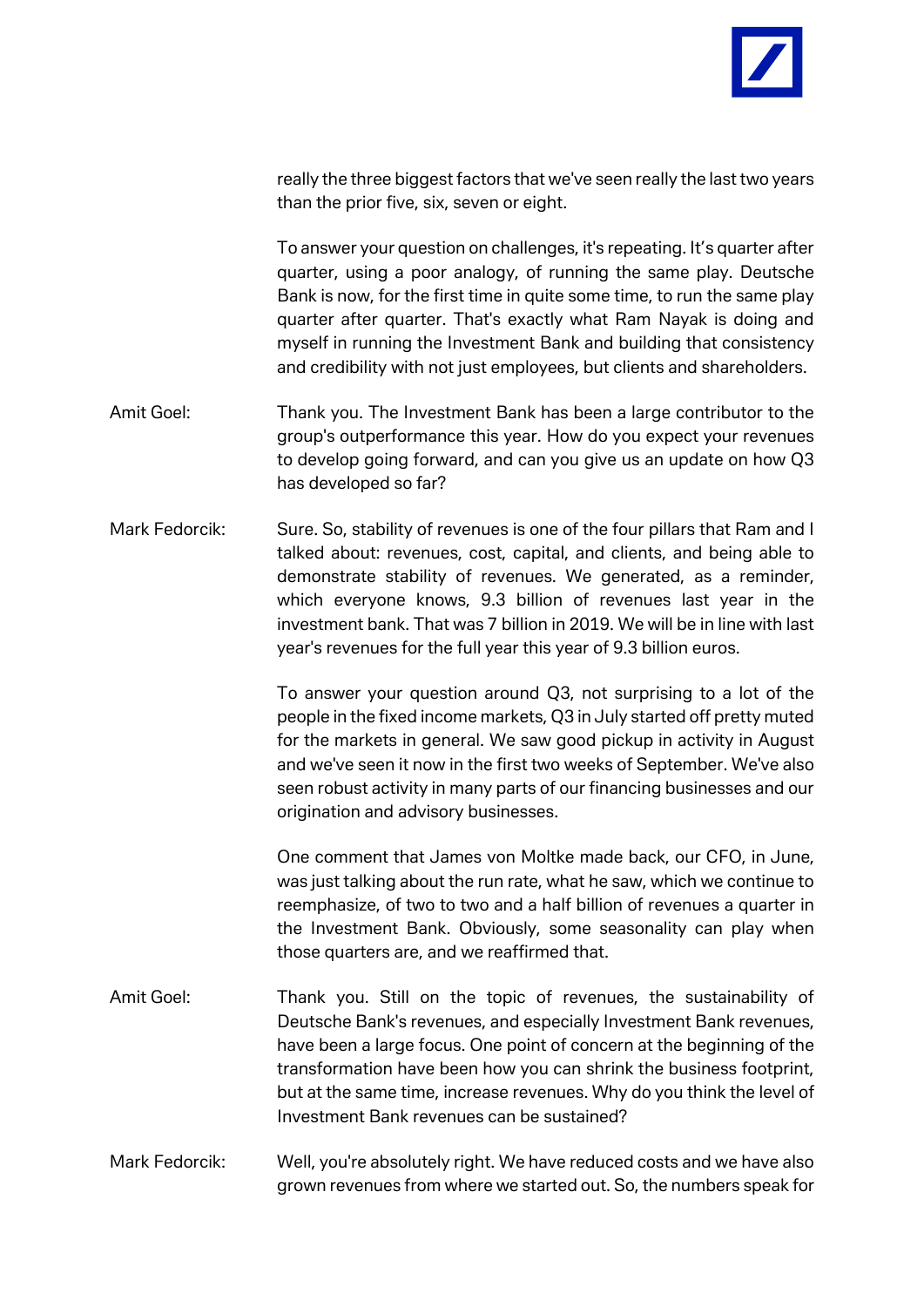

really the three biggest factors that we've seen really the last two years than the prior five, six, seven or eight.

To answer your question on challenges, it's repeating. It's quarter after quarter, using a poor analogy, of running the same play. Deutsche Bank is now, for the first time in quite some time, to run the same play quarter after quarter. That's exactly what Ram Nayak is doing and myself in running the Investment Bank and building that consistency and credibility with not just employees, but clients and shareholders.

- Amit Goel: Thank you. The Investment Bank has been a large contributor to the group's outperformance this year. How do you expect your revenues to develop going forward, and can you give us an update on how Q3 has developed so far?
- Mark Fedorcik: Sure. So, stability of revenues is one of the four pillars that Ram and I talked about: revenues, cost, capital, and clients, and being able to demonstrate stability of revenues. We generated, as a reminder, which everyone knows, 9.3 billion of revenues last year in the investment bank. That was 7 billion in 2019. We will be in line with last year's revenues for the full year this year of 9.3 billion euros.

To answer your question around Q3, not surprising to a lot of the people in the fixed income markets, Q3 in July started off pretty muted for the markets in general. We saw good pickup in activity in August and we've seen it now in the first two weeks of September. We've also seen robust activity in many parts of our financing businesses and our origination and advisory businesses.

One comment that James von Moltke made back, our CFO, in June, was just talking about the run rate, what he saw, which we continue to reemphasize, of two to two and a half billion of revenues a quarter in the Investment Bank. Obviously, some seasonality can play when those quarters are, and we reaffirmed that.

- Amit Goel: Thank you. Still on the topic of revenues, the sustainability of Deutsche Bank's revenues, and especially Investment Bank revenues, have been a large focus. One point of concern at the beginning of the transformation have been how you can shrink the business footprint, but at the same time, increase revenues. Why do you think the level of Investment Bank revenues can be sustained?
- Mark Fedorcik: Well, you're absolutely right. We have reduced costs and we have also grown revenues from where we started out. So, the numbers speak for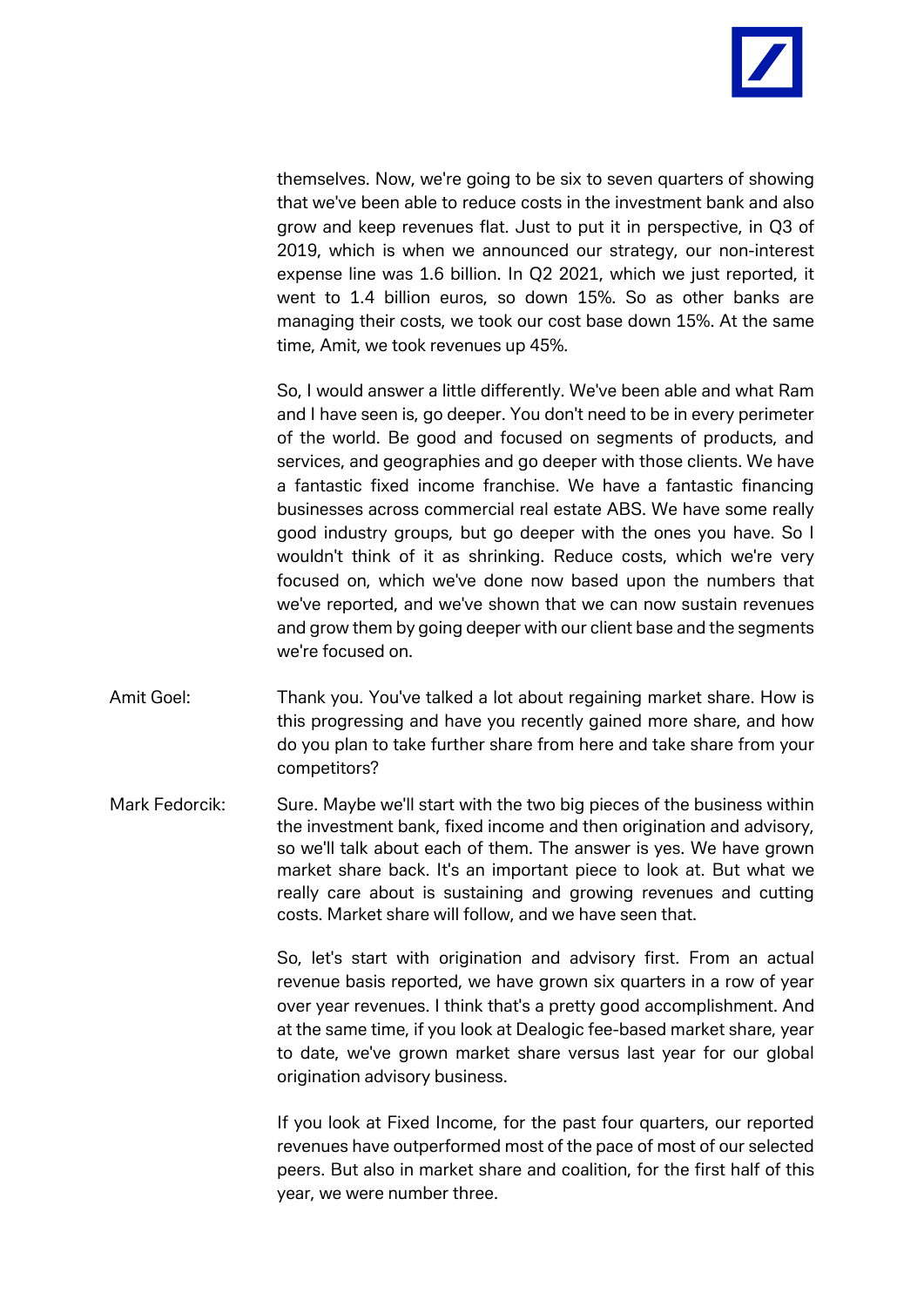

themselves. Now, we're going to be six to seven quarters of showing that we've been able to reduce costs in the investment bank and also grow and keep revenues flat. Just to put it in perspective, in Q3 of 2019, which is when we announced our strategy, our non-interest expense line was 1.6 billion. In Q2 2021, which we just reported, it went to 1.4 billion euros, so down 15%. So as other banks are managing their costs, we took our cost base down 15%. At the same time, Amit, we took revenues up 45%.

So, I would answer a little differently. We've been able and what Ram and I have seen is, go deeper. You don't need to be in every perimeter of the world. Be good and focused on segments of products, and services, and geographies and go deeper with those clients. We have a fantastic fixed income franchise. We have a fantastic financing businesses across commercial real estate ABS. We have some really good industry groups, but go deeper with the ones you have. So I wouldn't think of it as shrinking. Reduce costs, which we're very focused on, which we've done now based upon the numbers that we've reported, and we've shown that we can now sustain revenues and grow them by going deeper with our client base and the segments we're focused on.

- Amit Goel: Thank you. You've talked a lot about regaining market share. How is this progressing and have you recently gained more share, and how do you plan to take further share from here and take share from your competitors?
- Mark Fedorcik: Sure. Maybe we'll start with the two big pieces of the business within the investment bank, fixed income and then origination and advisory, so we'll talk about each of them. The answer is yes. We have grown market share back. It's an important piece to look at. But what we really care about is sustaining and growing revenues and cutting costs. Market share will follow, and we have seen that.

So, let's start with origination and advisory first. From an actual revenue basis reported, we have grown six quarters in a row of year over year revenues. I think that's a pretty good accomplishment. And at the same time, if you look at Dealogic fee-based market share, year to date, we've grown market share versus last year for our global origination advisory business.

If you look at Fixed Income, for the past four quarters, our reported revenues have outperformed most of the pace of most of our selected peers. But also in market share and coalition, for the first half of this year, we were number three.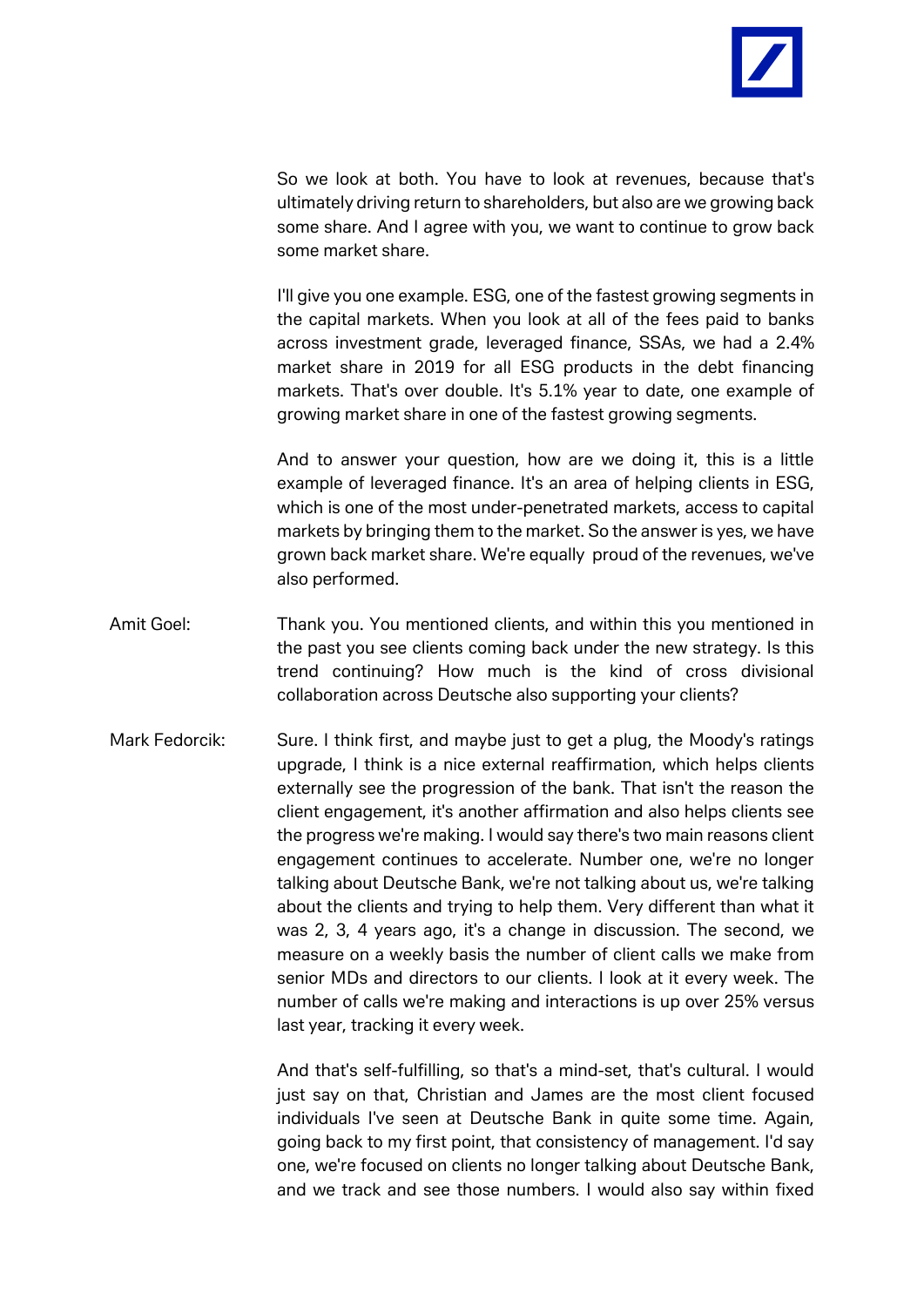

So we look at both. You have to look at revenues, because that's ultimately driving return to shareholders, but also are we growing back some share. And I agree with you, we want to continue to grow back some market share.

I'll give you one example. ESG, one of the fastest growing segments in the capital markets. When you look at all of the fees paid to banks across investment grade, leveraged finance, SSAs, we had a 2.4% market share in 2019 for all ESG products in the debt financing markets. That's over double. It's 5.1% year to date, one example of growing market share in one of the fastest growing segments.

And to answer your question, how are we doing it, this is a little example of leveraged finance. It's an area of helping clients in ESG, which is one of the most under-penetrated markets, access to capital markets by bringing them to the market. So the answer is yes, we have grown back market share. We're equally proud of the revenues, we've also performed.

- Amit Goel: Thank you. You mentioned clients, and within this you mentioned in the past you see clients coming back under the new strategy. Is this trend continuing? How much is the kind of cross divisional collaboration across Deutsche also supporting your clients?
- Mark Fedorcik: Sure. I think first, and maybe just to get a plug, the Moody's ratings upgrade, I think is a nice external reaffirmation, which helps clients externally see the progression of the bank. That isn't the reason the client engagement, it's another affirmation and also helps clients see the progress we're making. I would say there's two main reasons client engagement continues to accelerate. Number one, we're no longer talking about Deutsche Bank, we're not talking about us, we're talking about the clients and trying to help them. Very different than what it was 2, 3, 4 years ago, it's a change in discussion. The second, we measure on a weekly basis the number of client calls we make from senior MDs and directors to our clients. I look at it every week. The number of calls we're making and interactions is up over 25% versus last year, tracking it every week.

And that's self-fulfilling, so that's a mind-set, that's cultural. I would just say on that, Christian and James are the most client focused individuals I've seen at Deutsche Bank in quite some time. Again, going back to my first point, that consistency of management. I'd say one, we're focused on clients no longer talking about Deutsche Bank, and we track and see those numbers. I would also say within fixed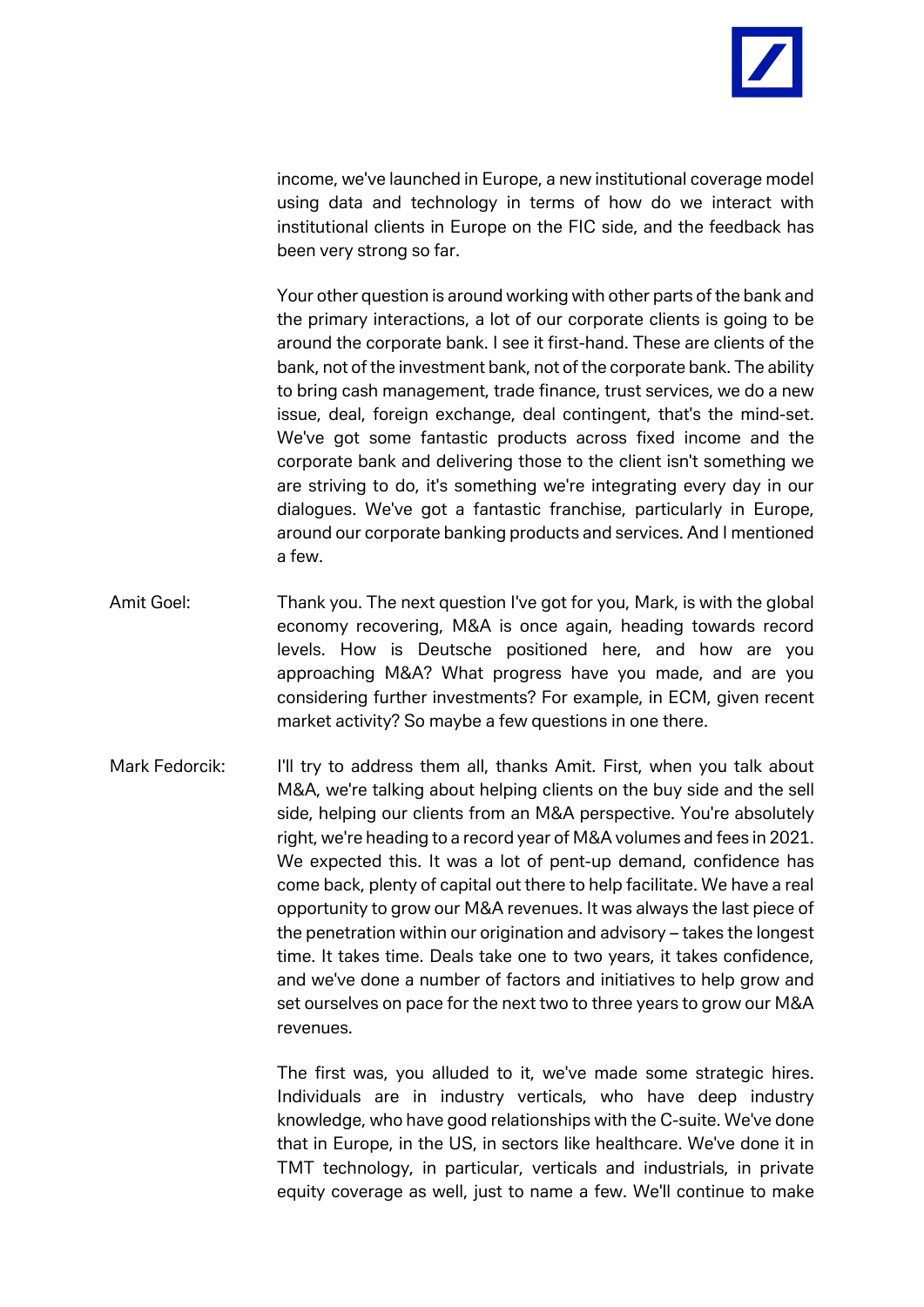

income, we've launched in Europe, a new institutional coverage model using data and technology in terms of how do we interact with institutional clients in Europe on the FIC side, and the feedback has been very strong so far.

Your other question is around working with other parts of the bank and the primary interactions, a lot of our corporate clients is going to be around the corporate bank. I see it first-hand. These are clients of the bank, not of the investment bank, not of the corporate bank. The ability to bring cash management, trade finance, trust services, we do a new issue, deal, foreign exchange, deal contingent, that's the mind-set. We've got some fantastic products across fixed income and the corporate bank and delivering those to the client isn't something we are striving to do, it's something we're integrating every day in our dialogues. We've got a fantastic franchise, particularly in Europe, around our corporate banking products and services. And I mentioned a few.

- Amit Goel: Thank you. The next question I've got for you, Mark, is with the global economy recovering, M&A is once again, heading towards record levels. How is Deutsche positioned here, and how are you approaching M&A? What progress have you made, and are you considering further investments? For example, in ECM, given recent market activity? So maybe a few questions in one there.
- Mark Fedorcik: I'll try to address them all, thanks Amit. First, when you talk about M&A, we're talking about helping clients on the buy side and the sell side, helping our clients from an M&A perspective. You're absolutely right, we're heading to a record year of M&A volumes and fees in 2021. We expected this. It was a lot of pent-up demand, confidence has come back, plenty of capital out there to help facilitate. We have a real opportunity to grow our M&A revenues. It was always the last piece of the penetration within our origination and advisory – takes the longest time. It takes time. Deals take one to two years, it takes confidence, and we've done a number of factors and initiatives to help grow and set ourselves on pace for the next two to three years to grow our M&A revenues.

The first was, you alluded to it, we've made some strategic hires. Individuals are in industry verticals, who have deep industry knowledge, who have good relationships with the C-suite. We've done that in Europe, in the US, in sectors like healthcare. We've done it in TMT technology, in particular, verticals and industrials, in private equity coverage as well, just to name a few. We'll continue to make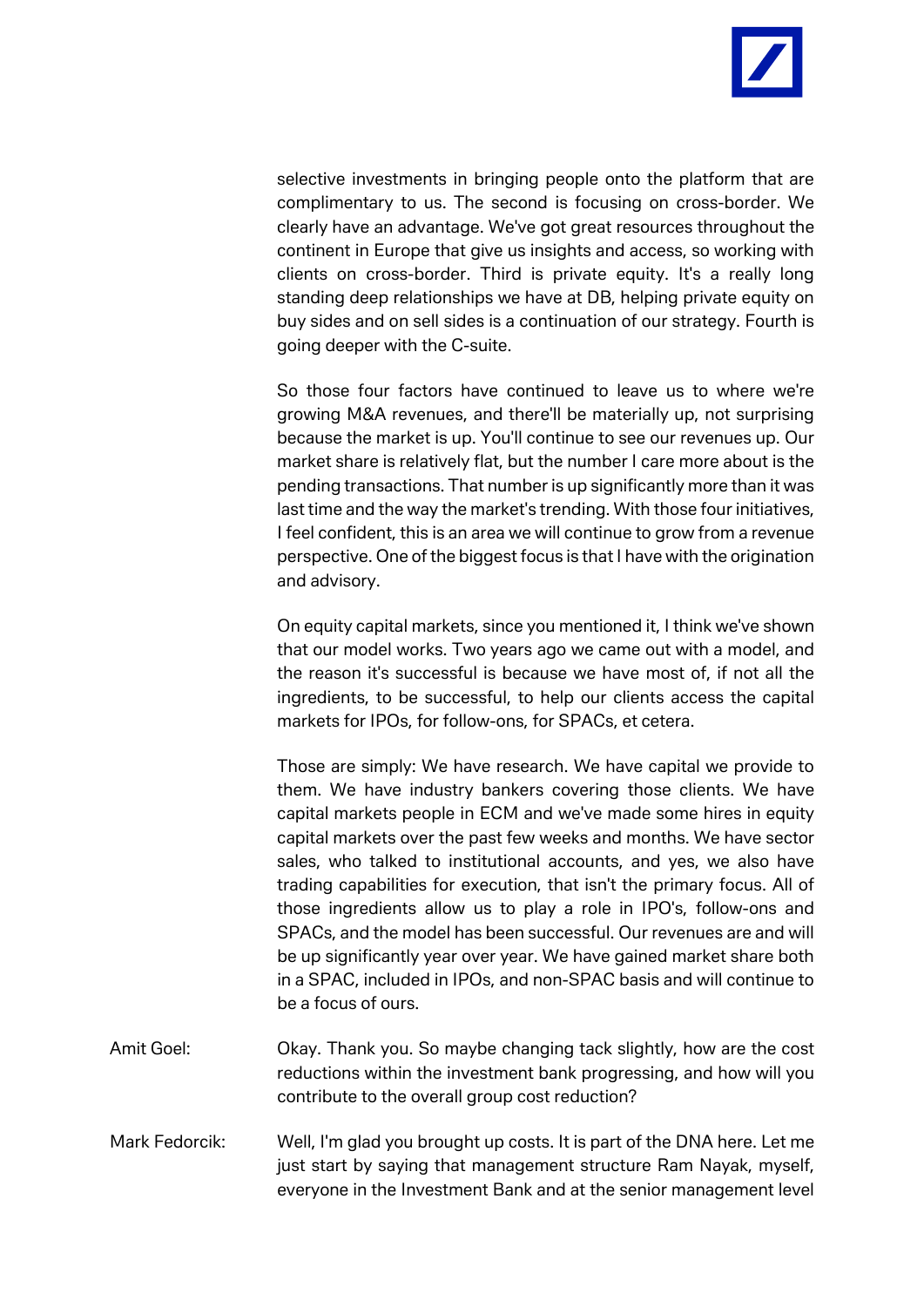

selective investments in bringing people onto the platform that are complimentary to us. The second is focusing on cross-border. We clearly have an advantage. We've got great resources throughout the continent in Europe that give us insights and access, so working with clients on cross-border. Third is private equity. It's a really long standing deep relationships we have at DB, helping private equity on buy sides and on sell sides is a continuation of our strategy. Fourth is going deeper with the C-suite.

So those four factors have continued to leave us to where we're growing M&A revenues, and there'll be materially up, not surprising because the market is up. You'll continue to see our revenues up. Our market share is relatively flat, but the number I care more about is the pending transactions. That number is up significantly more than it was last time and the way the market's trending. With those four initiatives, I feel confident, this is an area we will continue to grow from a revenue perspective. One of the biggest focus is that I have with the origination and advisory.

On equity capital markets, since you mentioned it, I think we've shown that our model works. Two years ago we came out with a model, and the reason it's successful is because we have most of, if not all the ingredients, to be successful, to help our clients access the capital markets for IPOs, for follow-ons, for SPACs, et cetera.

Those are simply: We have research. We have capital we provide to them. We have industry bankers covering those clients. We have capital markets people in ECM and we've made some hires in equity capital markets over the past few weeks and months. We have sector sales, who talked to institutional accounts, and yes, we also have trading capabilities for execution, that isn't the primary focus. All of those ingredients allow us to play a role in IPO's, follow-ons and SPACs, and the model has been successful. Our revenues are and will be up significantly year over year. We have gained market share both in a SPAC, included in IPOs, and non-SPAC basis and will continue to be a focus of ours.

- Amit Goel: Okay. Thank you. So maybe changing tack slightly, how are the cost reductions within the investment bank progressing, and how will you contribute to the overall group cost reduction?
- Mark Fedorcik: Well, I'm glad you brought up costs. It is part of the DNA here. Let me just start by saying that management structure Ram Nayak, myself, everyone in the Investment Bank and at the senior management level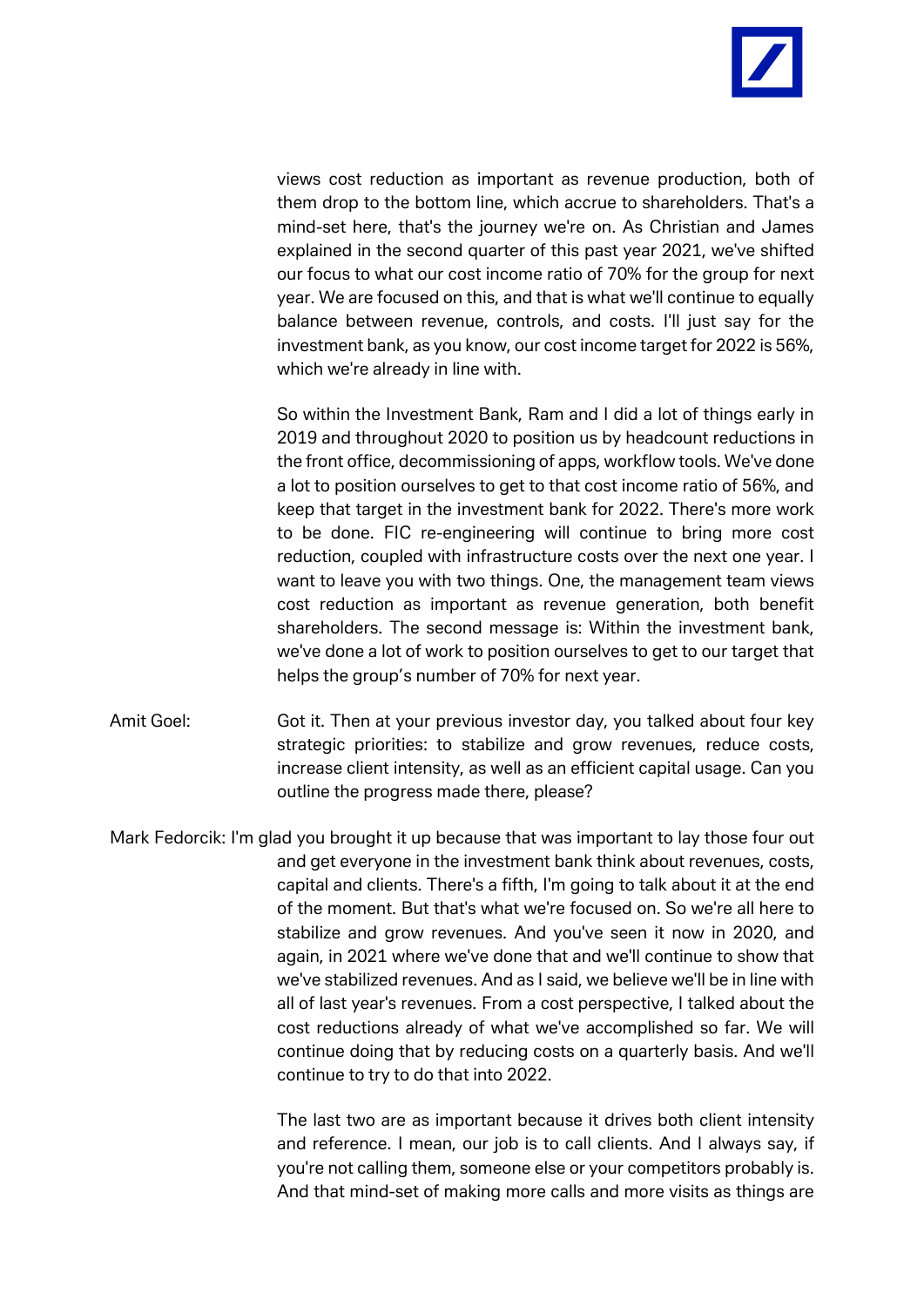

views cost reduction as important as revenue production, both of them drop to the bottom line, which accrue to shareholders. That's a mind-set here, that's the journey we're on. As Christian and James explained in the second quarter of this past year 2021, we've shifted our focus to what our cost income ratio of 70% for the group for next year. We are focused on this, and that is what we'll continue to equally balance between revenue, controls, and costs. I'll just say for the investment bank, as you know, our cost income target for 2022 is 56%, which we're already in line with.

So within the Investment Bank, Ram and I did a lot of things early in 2019 and throughout 2020 to position us by headcount reductions in the front office, decommissioning of apps, workflow tools. We've done a lot to position ourselves to get to that cost income ratio of 56%, and keep that target in the investment bank for 2022. There's more work to be done. FIC re-engineering will continue to bring more cost reduction, coupled with infrastructure costs over the next one year. I want to leave you with two things. One, the management team views cost reduction as important as revenue generation, both benefit shareholders. The second message is: Within the investment bank, we've done a lot of work to position ourselves to get to our target that helps the group's number of 70% for next year.

Amit Goel: Got it. Then at your previous investor day, you talked about four key strategic priorities: to stabilize and grow revenues, reduce costs, increase client intensity, as well as an efficient capital usage. Can you outline the progress made there, please?

Mark Fedorcik: I'm glad you brought it up because that was important to lay those four out and get everyone in the investment bank think about revenues, costs, capital and clients. There's a fifth, I'm going to talk about it at the end of the moment. But that's what we're focused on. So we're all here to stabilize and grow revenues. And you've seen it now in 2020, and again, in 2021 where we've done that and we'll continue to show that we've stabilized revenues. And as I said, we believe we'll be in line with all of last year's revenues. From a cost perspective, I talked about the cost reductions already of what we've accomplished so far. We will continue doing that by reducing costs on a quarterly basis. And we'll continue to try to do that into 2022.

> The last two are as important because it drives both client intensity and reference. I mean, our job is to call clients. And I always say, if you're not calling them, someone else or your competitors probably is. And that mind-set of making more calls and more visits as things are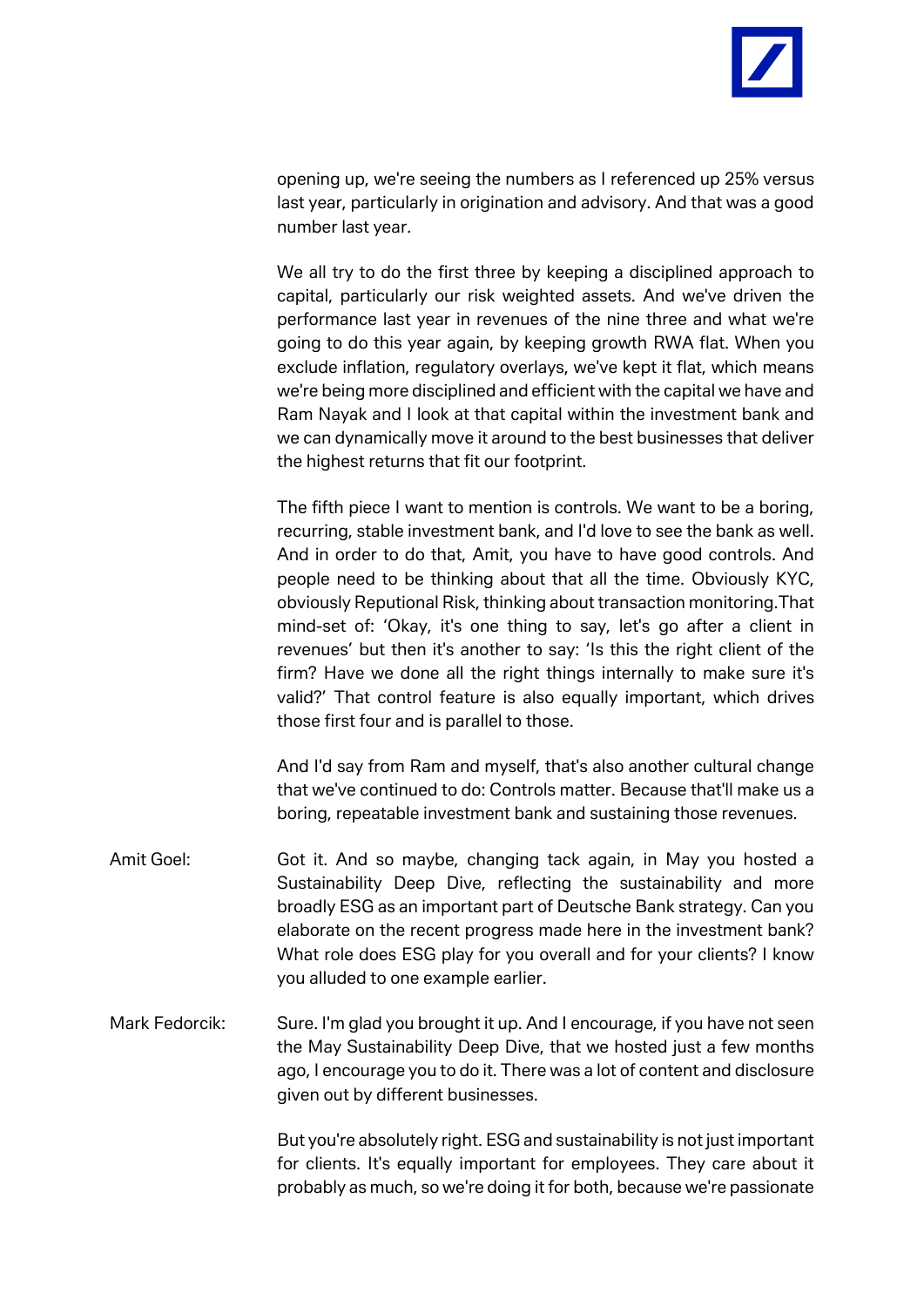

opening up, we're seeing the numbers as I referenced up 25% versus last year, particularly in origination and advisory. And that was a good number last year.

We all try to do the first three by keeping a disciplined approach to capital, particularly our risk weighted assets. And we've driven the performance last year in revenues of the nine three and what we're going to do this year again, by keeping growth RWA flat. When you exclude inflation, regulatory overlays, we've kept it flat, which means we're being more disciplined and efficient with the capital we have and Ram Nayak and I look at that capital within the investment bank and we can dynamically move it around to the best businesses that deliver the highest returns that fit our footprint.

The fifth piece I want to mention is controls. We want to be a boring, recurring, stable investment bank, and I'd love to see the bank as well. And in order to do that, Amit, you have to have good controls. And people need to be thinking about that all the time. Obviously KYC, obviously Reputional Risk, thinking about transaction monitoring.That mind-set of: 'Okay, it's one thing to say, let's go after a client in revenues' but then it's another to say: 'Is this the right client of the firm? Have we done all the right things internally to make sure it's valid?' That control feature is also equally important, which drives those first four and is parallel to those.

And I'd say from Ram and myself, that's also another cultural change that we've continued to do: Controls matter. Because that'll make us a boring, repeatable investment bank and sustaining those revenues.

- Amit Goel: Got it. And so maybe, changing tack again, in May you hosted a Sustainability Deep Dive, reflecting the sustainability and more broadly ESG as an important part of Deutsche Bank strategy. Can you elaborate on the recent progress made here in the investment bank? What role does ESG play for you overall and for your clients? I know you alluded to one example earlier.
- Mark Fedorcik: Sure. I'm glad you brought it up. And I encourage, if you have not seen the May Sustainability Deep Dive, that we hosted just a few months ago, I encourage you to do it. There was a lot of content and disclosure given out by different businesses.

But you're absolutely right. ESG and sustainability is not just important for clients. It's equally important for employees. They care about it probably as much, so we're doing it for both, because we're passionate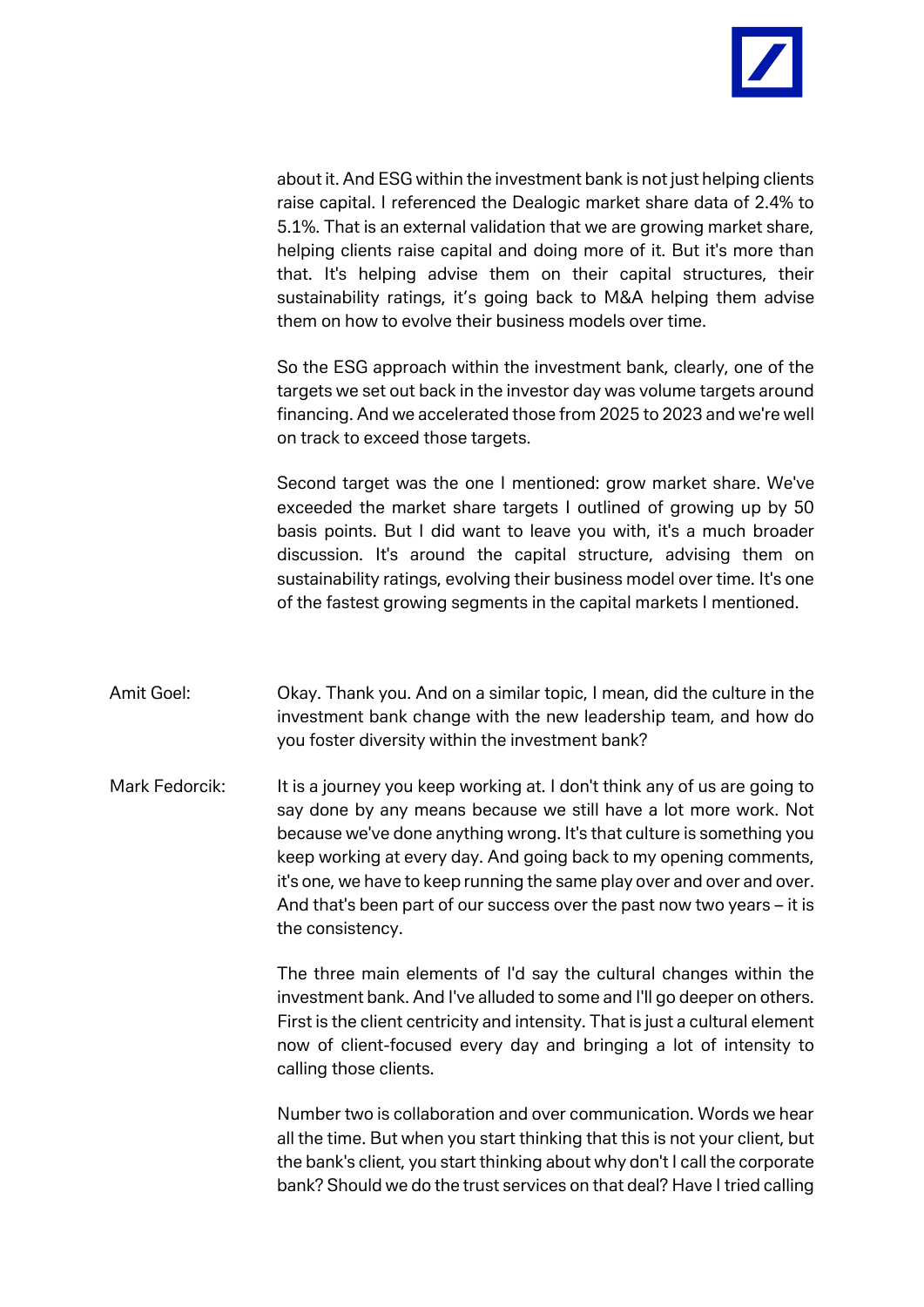

about it. And ESG within the investment bank is not just helping clients raise capital. I referenced the Dealogic market share data of 2.4% to 5.1%. That is an external validation that we are growing market share, helping clients raise capital and doing more of it. But it's more than that. It's helping advise them on their capital structures, their sustainability ratings, it's going back to M&A helping them advise them on how to evolve their business models over time.

So the ESG approach within the investment bank, clearly, one of the targets we set out back in the investor day was volume targets around financing. And we accelerated those from 2025 to 2023 and we're well on track to exceed those targets.

Second target was the one I mentioned: grow market share. We've exceeded the market share targets I outlined of growing up by 50 basis points. But I did want to leave you with, it's a much broader discussion. It's around the capital structure, advising them on sustainability ratings, evolving their business model over time. It's one of the fastest growing segments in the capital markets I mentioned.

- Amit Goel: Okay. Thank you. And on a similar topic, I mean, did the culture in the investment bank change with the new leadership team, and how do you foster diversity within the investment bank?
- Mark Fedorcik: It is a journey you keep working at. I don't think any of us are going to say done by any means because we still have a lot more work. Not because we've done anything wrong. It's that culture is something you keep working at every day. And going back to my opening comments, it's one, we have to keep running the same play over and over and over. And that's been part of our success over the past now two years – it is the consistency.

The three main elements of I'd say the cultural changes within the investment bank. And I've alluded to some and I'll go deeper on others. First is the client centricity and intensity. That is just a cultural element now of client-focused every day and bringing a lot of intensity to calling those clients.

Number two is collaboration and over communication. Words we hear all the time. But when you start thinking that this is not your client, but the bank's client, you start thinking about why don't I call the corporate bank? Should we do the trust services on that deal? Have I tried calling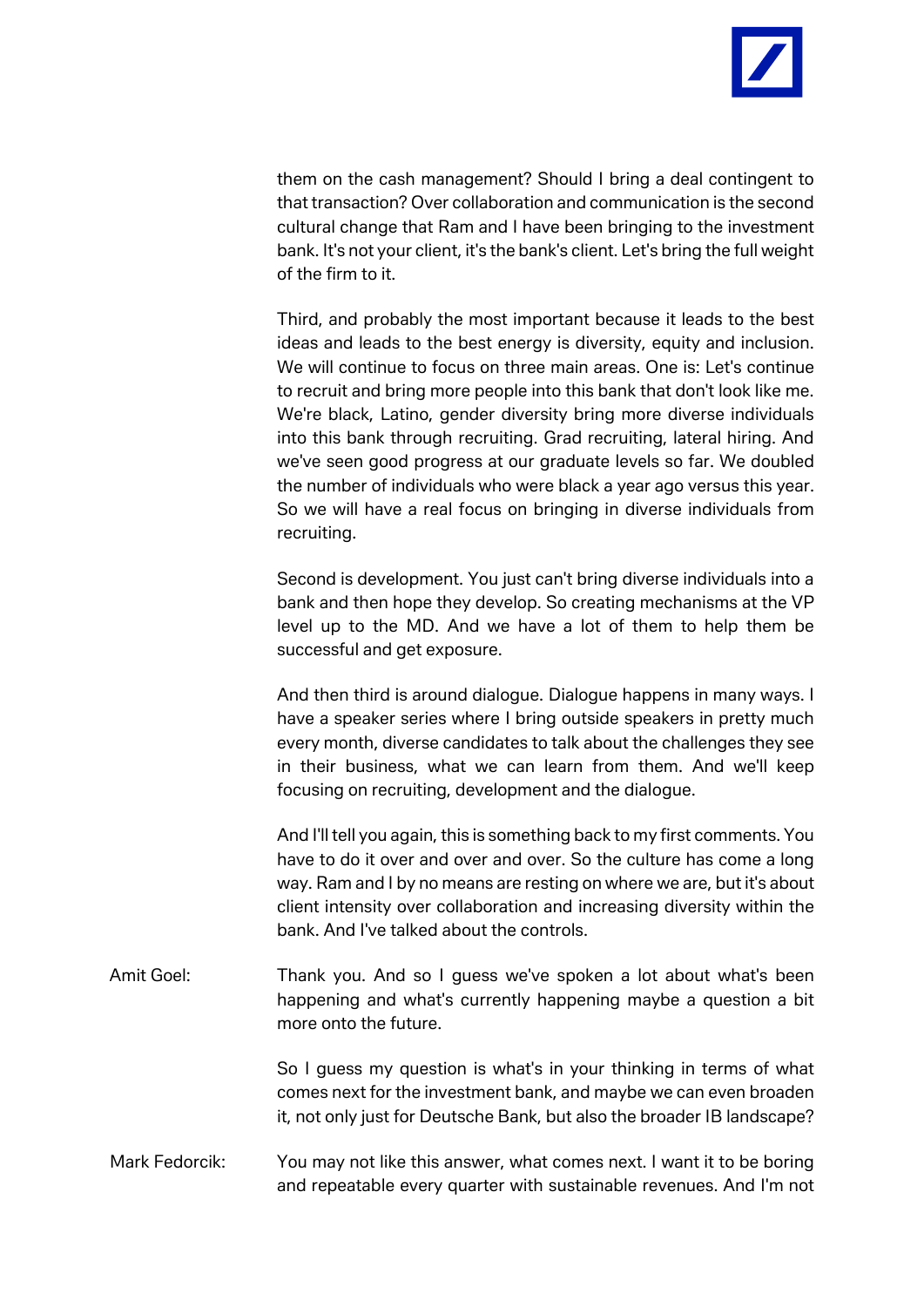

them on the cash management? Should I bring a deal contingent to that transaction? Over collaboration and communication is the second cultural change that Ram and I have been bringing to the investment bank. It's not your client, it's the bank's client. Let's bring the full weight of the firm to it.

Third, and probably the most important because it leads to the best ideas and leads to the best energy is diversity, equity and inclusion. We will continue to focus on three main areas. One is: Let's continue to recruit and bring more people into this bank that don't look like me. We're black, Latino, gender diversity bring more diverse individuals into this bank through recruiting. Grad recruiting, lateral hiring. And we've seen good progress at our graduate levels so far. We doubled the number of individuals who were black a year ago versus this year. So we will have a real focus on bringing in diverse individuals from recruiting.

Second is development. You just can't bring diverse individuals into a bank and then hope they develop. So creating mechanisms at the VP level up to the MD. And we have a lot of them to help them be successful and get exposure.

And then third is around dialogue. Dialogue happens in many ways. I have a speaker series where I bring outside speakers in pretty much every month, diverse candidates to talk about the challenges they see in their business, what we can learn from them. And we'll keep focusing on recruiting, development and the dialogue.

And I'll tell you again, this is something back to my first comments. You have to do it over and over and over. So the culture has come a long way. Ram and I by no means are resting on where we are, but it's about client intensity over collaboration and increasing diversity within the bank. And I've talked about the controls.

Amit Goel: Thank you. And so I guess we've spoken a lot about what's been happening and what's currently happening maybe a question a bit more onto the future.

> So I guess my question is what's in your thinking in terms of what comes next for the investment bank, and maybe we can even broaden it, not only just for Deutsche Bank, but also the broader IB landscape?

Mark Fedorcik: You may not like this answer, what comes next. I want it to be boring and repeatable every quarter with sustainable revenues. And I'm not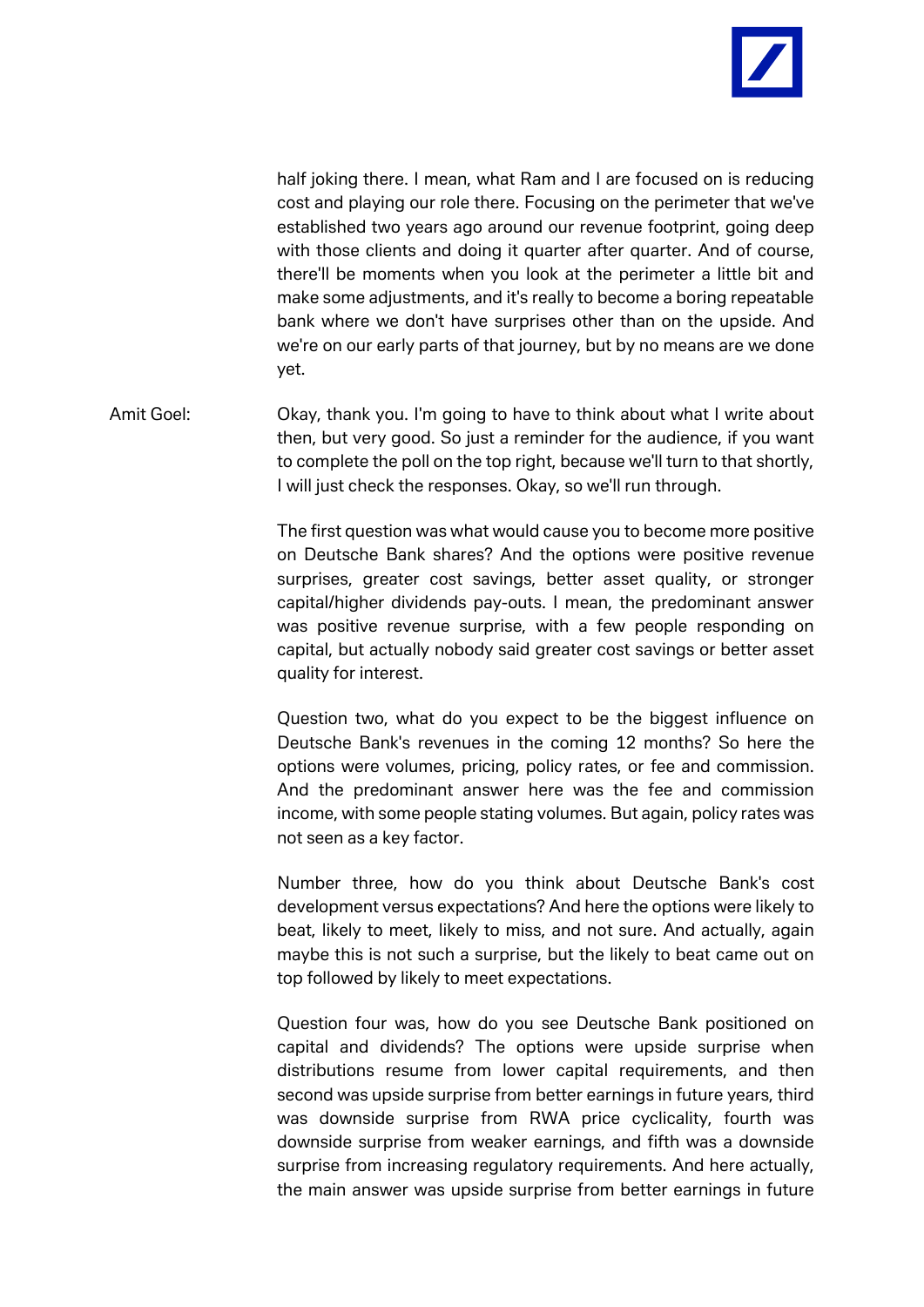

half joking there. I mean, what Ram and I are focused on is reducing cost and playing our role there. Focusing on the perimeter that we've established two years ago around our revenue footprint, going deep with those clients and doing it quarter after quarter. And of course, there'll be moments when you look at the perimeter a little bit and make some adjustments, and it's really to become a boring repeatable bank where we don't have surprises other than on the upside. And we're on our early parts of that journey, but by no means are we done yet.

Amit Goel: Okay, thank you. I'm going to have to think about what I write about then, but very good. So just a reminder for the audience, if you want to complete the poll on the top right, because we'll turn to that shortly, I will just check the responses. Okay, so we'll run through.

> The first question was what would cause you to become more positive on Deutsche Bank shares? And the options were positive revenue surprises, greater cost savings, better asset quality, or stronger capital/higher dividends pay-outs. I mean, the predominant answer was positive revenue surprise, with a few people responding on capital, but actually nobody said greater cost savings or better asset quality for interest.

> Question two, what do you expect to be the biggest influence on Deutsche Bank's revenues in the coming 12 months? So here the options were volumes, pricing, policy rates, or fee and commission. And the predominant answer here was the fee and commission income, with some people stating volumes. But again, policy rates was not seen as a key factor.

> Number three, how do you think about Deutsche Bank's cost development versus expectations? And here the options were likely to beat, likely to meet, likely to miss, and not sure. And actually, again maybe this is not such a surprise, but the likely to beat came out on top followed by likely to meet expectations.

> Question four was, how do you see Deutsche Bank positioned on capital and dividends? The options were upside surprise when distributions resume from lower capital requirements, and then second was upside surprise from better earnings in future years, third was downside surprise from RWA price cyclicality, fourth was downside surprise from weaker earnings, and fifth was a downside surprise from increasing regulatory requirements. And here actually, the main answer was upside surprise from better earnings in future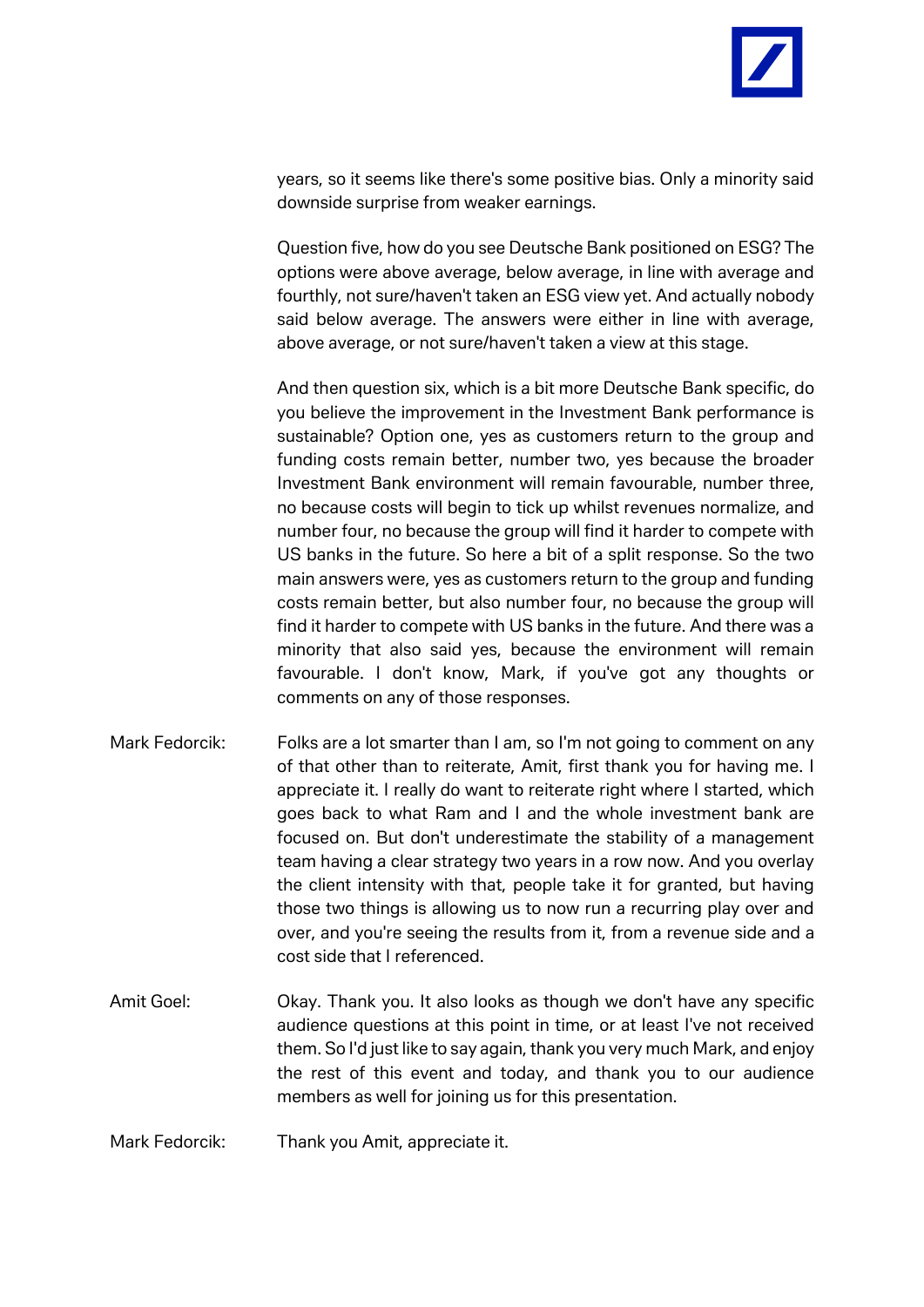

years, so it seems like there's some positive bias. Only a minority said downside surprise from weaker earnings.

Question five, how do you see Deutsche Bank positioned on ESG? The options were above average, below average, in line with average and fourthly, not sure/haven't taken an ESG view yet. And actually nobody said below average. The answers were either in line with average, above average, or not sure/haven't taken a view at this stage.

And then question six, which is a bit more Deutsche Bank specific, do you believe the improvement in the Investment Bank performance is sustainable? Option one, yes as customers return to the group and funding costs remain better, number two, yes because the broader Investment Bank environment will remain favourable, number three, no because costs will begin to tick up whilst revenues normalize, and number four, no because the group will find it harder to compete with US banks in the future. So here a bit of a split response. So the two main answers were, yes as customers return to the group and funding costs remain better, but also number four, no because the group will find it harder to compete with US banks in the future. And there was a minority that also said yes, because the environment will remain favourable. I don't know, Mark, if you've got any thoughts or comments on any of those responses.

- Mark Fedorcik: Folks are a lot smarter than I am, so I'm not going to comment on any of that other than to reiterate, Amit, first thank you for having me. I appreciate it. I really do want to reiterate right where I started, which goes back to what Ram and I and the whole investment bank are focused on. But don't underestimate the stability of a management team having a clear strategy two years in a row now. And you overlay the client intensity with that, people take it for granted, but having those two things is allowing us to now run a recurring play over and over, and you're seeing the results from it, from a revenue side and a cost side that I referenced.
- Amit Goel: Okay. Thank you. It also looks as though we don't have any specific audience questions at this point in time, or at least I've not received them. So I'd just like to say again, thank you very much Mark, and enjoy the rest of this event and today, and thank you to our audience members as well for joining us for this presentation.
- Mark Fedorcik: Thank you Amit, appreciate it.